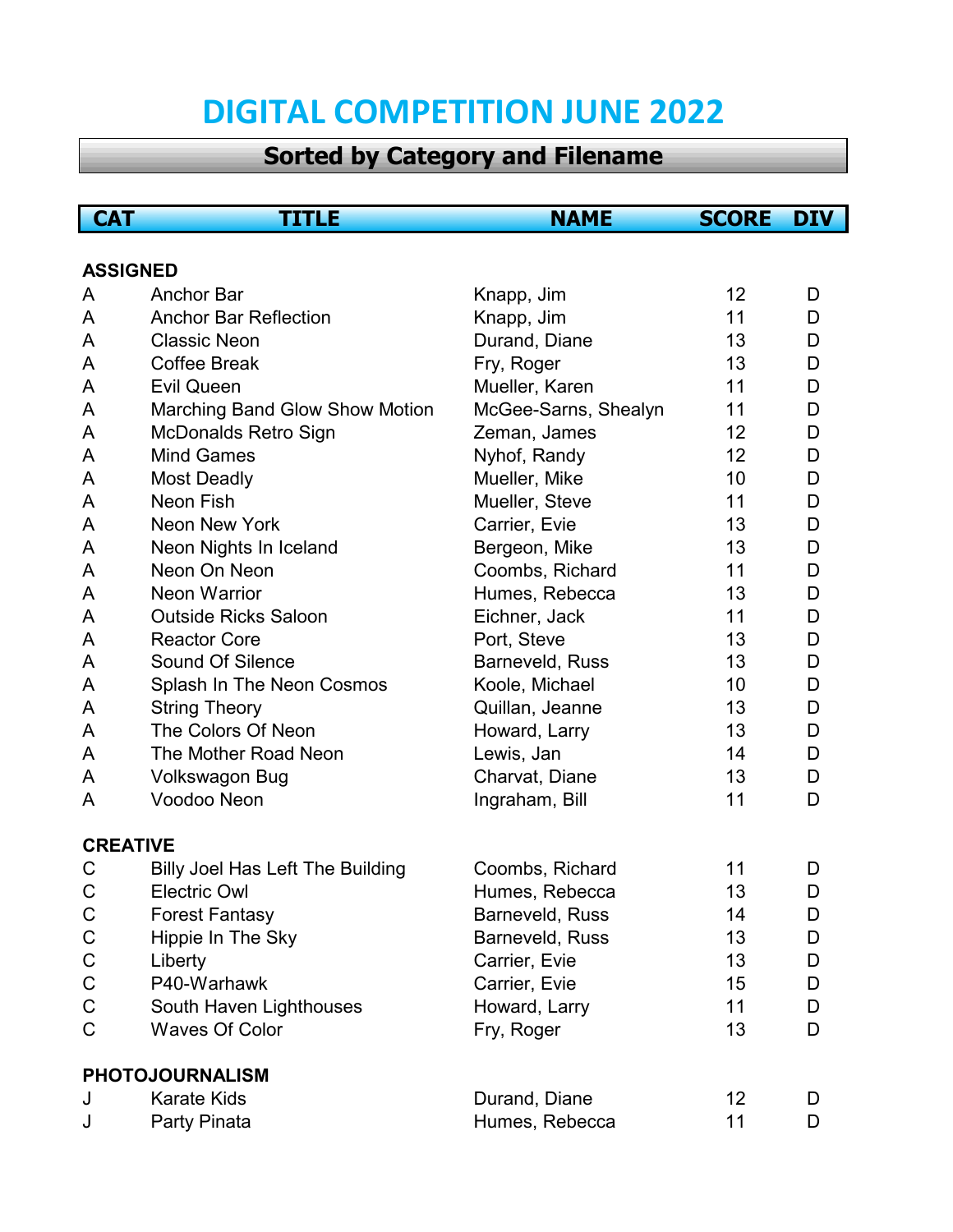## **DIGITAL COMPETITION JUNE 2022**

## **Sorted by Category and Filename**

| <b>CAT</b>      | TITLE                                   | <b>NAME</b>          | <b>SCORE</b> | <b>DIV</b> |
|-----------------|-----------------------------------------|----------------------|--------------|------------|
|                 |                                         |                      |              |            |
| <b>ASSIGNED</b> |                                         |                      |              |            |
| A               | <b>Anchor Bar</b>                       | Knapp, Jim           | 12           | D          |
| A               | <b>Anchor Bar Reflection</b>            | Knapp, Jim           | 11           | D          |
| A               | <b>Classic Neon</b>                     | Durand, Diane        | 13           | D          |
| A               | <b>Coffee Break</b>                     | Fry, Roger           | 13           | D          |
| A               | <b>Evil Queen</b>                       | Mueller, Karen       | 11           | D          |
| A               | Marching Band Glow Show Motion          | McGee-Sarns, Shealyn | 11           | D          |
| A               | <b>McDonalds Retro Sign</b>             | Zeman, James         | 12           | D          |
| A               | <b>Mind Games</b>                       | Nyhof, Randy         | 12           | D          |
| A               | <b>Most Deadly</b>                      | Mueller, Mike        | 10           | D          |
| A               | Neon Fish                               | Mueller, Steve       | 11           | D          |
| A               | Neon New York                           | Carrier, Evie        | 13           | D          |
| A               | Neon Nights In Iceland                  | Bergeon, Mike        | 13           | D          |
| A               | Neon On Neon                            | Coombs, Richard      | 11           | D          |
| A               | <b>Neon Warrior</b>                     | Humes, Rebecca       | 13           | D          |
| A               | <b>Outside Ricks Saloon</b>             | Eichner, Jack        | 11           | D          |
| A               | <b>Reactor Core</b>                     | Port, Steve          | 13           | D          |
| A               | Sound Of Silence                        | Barneveld, Russ      | 13           | D          |
| A               | Splash In The Neon Cosmos               | Koole, Michael       | 10           | D          |
| A               | <b>String Theory</b>                    | Quillan, Jeanne      | 13           | D          |
| A               | The Colors Of Neon                      | Howard, Larry        | 13           | D          |
| A               | The Mother Road Neon                    | Lewis, Jan           | 14           | D          |
| A               | <b>Volkswagon Bug</b>                   | Charvat, Diane       | 13           | D          |
| A               | Voodoo Neon                             | Ingraham, Bill       | 11           | D          |
| <b>CREATIVE</b> |                                         |                      |              |            |
| C               | <b>Billy Joel Has Left The Building</b> | Coombs, Richard      | 11           | D          |
| C               | <b>Electric Owl</b>                     | Humes, Rebecca       | 13           | D          |
| $\mathsf C$     | <b>Forest Fantasy</b>                   | Barneveld, Russ      | 14           | D          |
| $\mathsf C$     | Hippie In The Sky                       | Barneveld, Russ      | 13           | D          |
| $\mathsf C$     | Liberty                                 | Carrier, Evie        | 13           | D          |
| $\mathsf C$     | P40-Warhawk                             | Carrier, Evie        | 15           | D          |
| $\mathsf C$     | South Haven Lighthouses                 | Howard, Larry        | 11           | D          |
| C               | <b>Waves Of Color</b>                   | Fry, Roger           | 13           | D          |
|                 | <b>PHOTOJOURNALISM</b>                  |                      |              |            |
| J               | <b>Karate Kids</b>                      | Durand, Diane        | 12           | D          |
| J               | Party Pinata                            | Humes, Rebecca       | 11           | D          |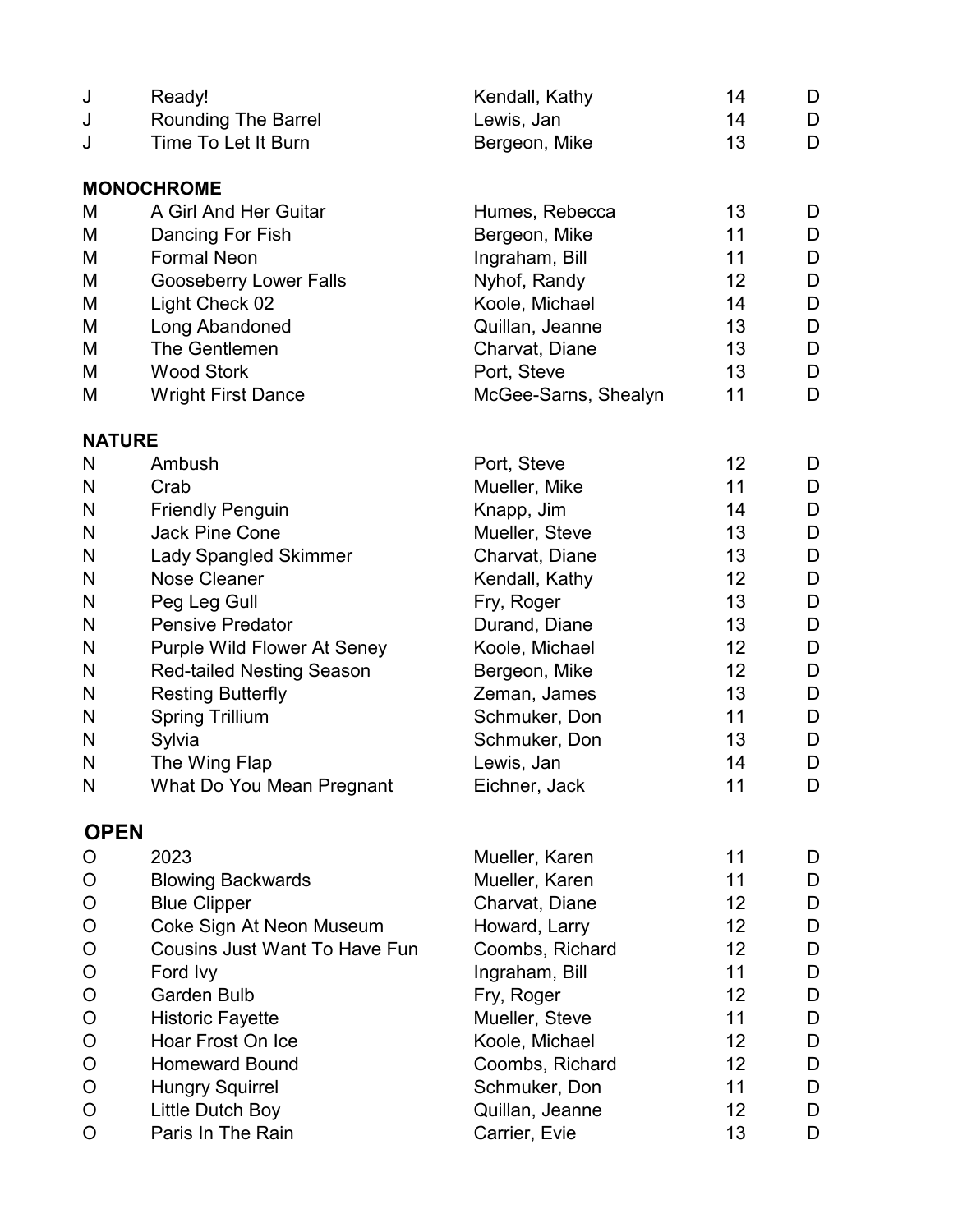| J             | Ready!                               | Kendall, Kathy       | 14              | D |
|---------------|--------------------------------------|----------------------|-----------------|---|
| J             | <b>Rounding The Barrel</b>           | Lewis, Jan           | 14              | D |
| J             | Time To Let It Burn                  | Bergeon, Mike        | 13              | D |
|               | <b>MONOCHROME</b>                    |                      |                 |   |
| М             | A Girl And Her Guitar                | Humes, Rebecca       | 13              | D |
| M             | Dancing For Fish                     | Bergeon, Mike        | 11              | D |
| М             | <b>Formal Neon</b>                   | Ingraham, Bill       | 11              | D |
| М             | <b>Gooseberry Lower Falls</b>        | Nyhof, Randy         | 12              | D |
| М             | Light Check 02                       | Koole, Michael       | 14              | D |
| M             | Long Abandoned                       | Quillan, Jeanne      | 13              | D |
| М             | The Gentlemen                        | Charvat, Diane       | 13              | D |
| М             | <b>Wood Stork</b>                    | Port, Steve          | 13              | D |
| M             | <b>Wright First Dance</b>            | McGee-Sarns, Shealyn | 11              | D |
| <b>NATURE</b> |                                      |                      |                 |   |
| N             | Ambush                               | Port, Steve          | 12 <sub>2</sub> | D |
| N             | Crab                                 | Mueller, Mike        | 11              | D |
| N             | <b>Friendly Penguin</b>              | Knapp, Jim           | 14              | D |
| N             | <b>Jack Pine Cone</b>                | Mueller, Steve       | 13              | D |
| N             | <b>Lady Spangled Skimmer</b>         | Charvat, Diane       | 13              | D |
| N             | <b>Nose Cleaner</b>                  | Kendall, Kathy       | 12              | D |
| N             | Peg Leg Gull                         | Fry, Roger           | 13              | D |
| N             | <b>Pensive Predator</b>              | Durand, Diane        | 13              | D |
| N             | <b>Purple Wild Flower At Seney</b>   | Koole, Michael       | 12              | D |
| N             | <b>Red-tailed Nesting Season</b>     | Bergeon, Mike        | 12 <sub>2</sub> | D |
| N             | <b>Resting Butterfly</b>             | Zeman, James         | 13              | D |
| N             | <b>Spring Trillium</b>               | Schmuker, Don        | 11              | D |
| $\mathsf{N}$  | Sylvia                               | Schmuker, Don        | 13              | D |
| N             | The Wing Flap                        | Lewis, Jan           | 14              | D |
| $\mathsf{N}$  | What Do You Mean Pregnant            | Eichner, Jack        | 11              | D |
| <b>OPEN</b>   |                                      |                      |                 |   |
| O             | 2023                                 | Mueller, Karen       | 11              | D |
| O             | <b>Blowing Backwards</b>             | Mueller, Karen       | 11              | D |
| O             | <b>Blue Clipper</b>                  | Charvat, Diane       | 12              | D |
| O             | Coke Sign At Neon Museum             | Howard, Larry        | 12 <sub>2</sub> | D |
| O             | <b>Cousins Just Want To Have Fun</b> | Coombs, Richard      | 12 <sub>2</sub> | D |
| O             | Ford Ivy                             | Ingraham, Bill       | 11              | D |
| O             | <b>Garden Bulb</b>                   | Fry, Roger           | 12              | D |
| $\circ$       | <b>Historic Fayette</b>              | Mueller, Steve       | 11              | D |
| O             | Hoar Frost On Ice                    | Koole, Michael       | 12 <sub>2</sub> | D |
| $\mathsf O$   | <b>Homeward Bound</b>                | Coombs, Richard      | 12 <sub>2</sub> | D |
| O             | <b>Hungry Squirrel</b>               | Schmuker, Don        | 11              | D |
| O             | Little Dutch Boy                     | Quillan, Jeanne      | 12 <sub>2</sub> | D |
| O             | Paris In The Rain                    | Carrier, Evie        | 13              | D |
|               |                                      |                      |                 |   |